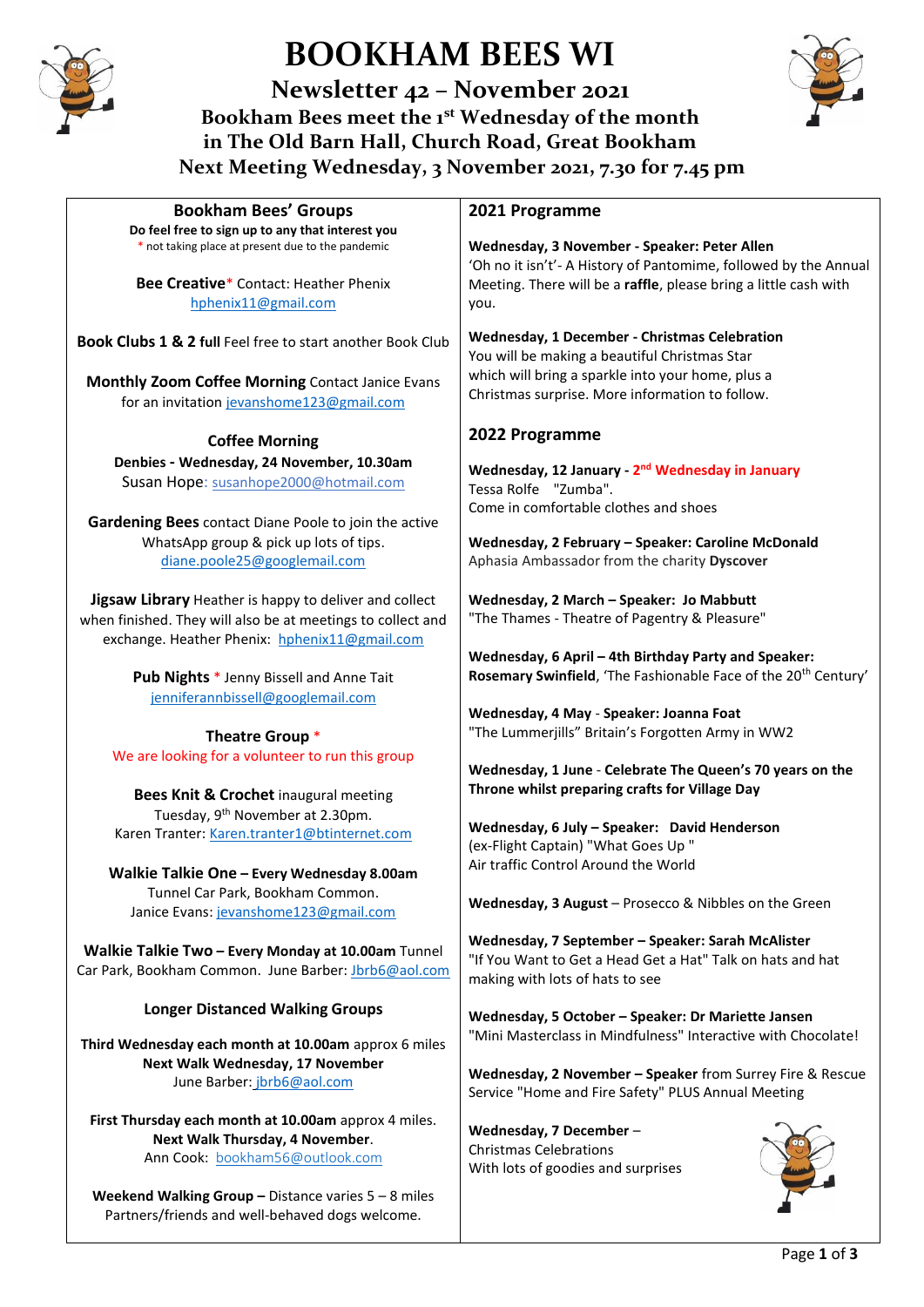

# **BOOKHAM BEES WI**

**Newsletter 42 – November 2021 Bookham Bees meet the 1st Wednesday of the month in The Old Barn Hall, Church Road, Great Bookham Next Meeting Wednesday, 3 November 2021, 7.30 for 7.45 pm**



| <b>Bookham Bees' Groups</b>                                                                                                                                                                                                                                                                                                             | 2021 Programme                                                                                                                                                                                                                                                                                                                                                                                      |
|-----------------------------------------------------------------------------------------------------------------------------------------------------------------------------------------------------------------------------------------------------------------------------------------------------------------------------------------|-----------------------------------------------------------------------------------------------------------------------------------------------------------------------------------------------------------------------------------------------------------------------------------------------------------------------------------------------------------------------------------------------------|
| Do feel free to sign up to any that interest you<br>* not taking place at present due to the pandemic<br><b>Bee Creative*</b> Contact: Heather Phenix<br>hphenix11@gmail.com                                                                                                                                                            | Wednesday, 3 November - Speaker: Peter Allen<br>'Oh no it isn't'- A History of Pantomime, followed by the Annual<br>Meeting. There will be a raffle, please bring a little cash with<br>you.                                                                                                                                                                                                        |
| Book Clubs 1 & 2 full Feel free to start another Book Club<br>Monthly Zoom Coffee Morning Contact Janice Evans<br>for an invitation jevanshome123@gmail.com                                                                                                                                                                             | Wednesday, 1 December - Christmas Celebration<br>You will be making a beautiful Christmas Star<br>which will bring a sparkle into your home, plus a<br>Christmas surprise. More information to follow.                                                                                                                                                                                              |
| <b>Coffee Morning</b>                                                                                                                                                                                                                                                                                                                   | 2022 Programme                                                                                                                                                                                                                                                                                                                                                                                      |
| Denbies - Wednesday, 24 November, 10.30am<br>Susan Hope: susanhope2000@hotmail.com<br>Gardening Bees contact Diane Poole to join the active<br>WhatsApp group & pick up lots of tips.<br>diane.poole25@googlemail.com                                                                                                                   | Wednesday, 12 January - 2 <sup>nd</sup> Wednesday in January<br>Tessa Rolfe "Zumba".<br>Come in comfortable clothes and shoes<br>Wednesday, 2 February - Speaker: Caroline McDonald<br>Aphasia Ambassador from the charity Dyscover                                                                                                                                                                 |
| Jigsaw Library Heather is happy to deliver and collect<br>when finished. They will also be at meetings to collect and<br>exchange. Heather Phenix: hphenix11@gmail.com                                                                                                                                                                  | Wednesday, 2 March - Speaker: Jo Mabbutt<br>"The Thames - Theatre of Pagentry & Pleasure"                                                                                                                                                                                                                                                                                                           |
| Pub Nights * Jenny Bissell and Anne Tait<br>jenniferannbissell@googlemail.com                                                                                                                                                                                                                                                           | Wednesday, 6 April - 4th Birthday Party and Speaker:<br>Rosemary Swinfield, 'The Fashionable Face of the 20 <sup>th</sup> Century'                                                                                                                                                                                                                                                                  |
| Theatre Group *<br>We are looking for a volunteer to run this group<br>Bees Knit & Crochet inaugural meeting<br>Tuesday, 9 <sup>th</sup> November at 2.30pm.<br>Karen Tranter: Karen.tranter1@btinternet.com<br>Walkie Talkie One - Every Wednesday 8.00am<br>Tunnel Car Park, Bookham Common.<br>Janice Evans: jevanshome123@gmail.com | Wednesday, 4 May - Speaker: Joanna Foat<br>"The Lummerjills" Britain's Forgotten Army in WW2<br>Wednesday, 1 June - Celebrate The Queen's 70 years on the<br>Throne whilst preparing crafts for Village Day<br>Wednesday, 6 July - Speaker: David Henderson<br>(ex-Flight Captain) "What Goes Up "<br>Air traffic Control Around the World<br>Wednesday, 3 August - Prosecco & Nibbles on the Green |
| Walkie Talkie Two - Every Monday at 10.00am Tunnel<br>Car Park, Bookham Common. June Barber: Jbrb6@aol.com                                                                                                                                                                                                                              | Wednesday, 7 September - Speaker: Sarah McAlister<br>"If You Want to Get a Head Get a Hat" Talk on hats and hat<br>making with lots of hats to see                                                                                                                                                                                                                                                  |
| <b>Longer Distanced Walking Groups</b><br>Third Wednesday each month at 10.00am approx 6 miles<br>Next Walk Wednesday, 17 November<br>June Barber: jbrb6@aol.com                                                                                                                                                                        | Wednesday, 5 October - Speaker: Dr Mariette Jansen<br>"Mini Masterclass in Mindfulness" Interactive with Chocolate!<br>Wednesday, 2 November - Speaker from Surrey Fire & Rescue<br>Service "Home and Fire Safety" PLUS Annual Meeting                                                                                                                                                              |
| First Thursday each month at 10.00am approx 4 miles.<br>Next Walk Thursday, 4 November.<br>Ann Cook: bookham56@outlook.com<br>Weekend Walking Group - Distance varies $5 - 8$ miles                                                                                                                                                     | Wednesday, 7 December-<br><b>Christmas Celebrations</b><br>With lots of goodies and surprises                                                                                                                                                                                                                                                                                                       |
| Partners/friends and well-behaved dogs welcome.                                                                                                                                                                                                                                                                                         |                                                                                                                                                                                                                                                                                                                                                                                                     |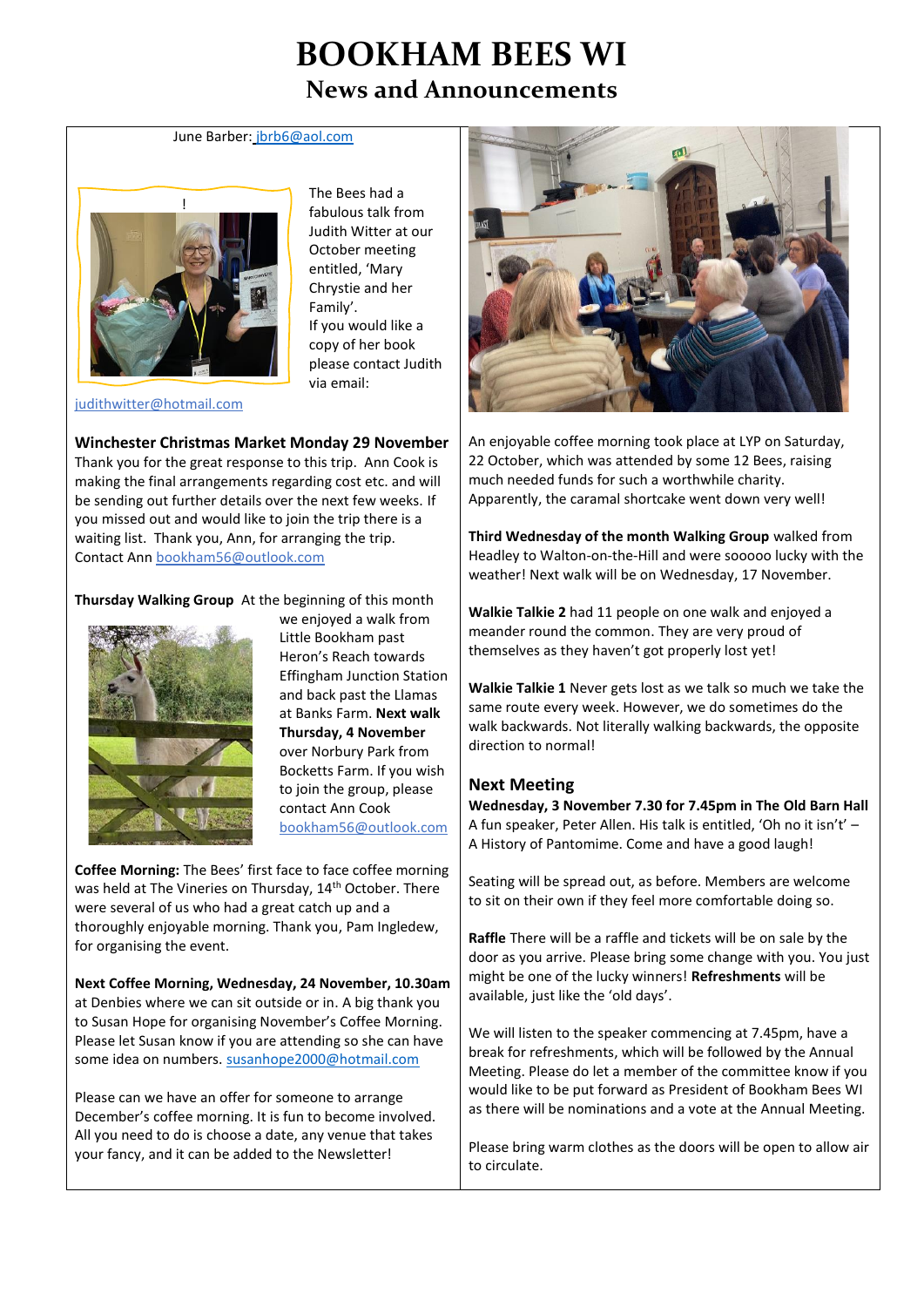# **BOOKHAM BEES WI News and Announcements**

#### June Barber: [jbrb6@aol.com](mailto:jbrb6@aol.com)



The Bees had a fabulous talk from Judith Witter at our October meeting entitled, 'Mary Chrystie and her Family'. If you would like a copy of her book please contact Judith via email:

[judithwitter@hotmail.com](mailto:judithwitter@hotmail.com) 

#### **Winchester Christmas Market Monday 29 November**

Thank you for the great response to this trip. Ann Cook is making the final arrangements regarding cost etc. and will be sending out further details over the next few weeks. If you missed out and would like to join the trip there is a waiting list. Thank you, Ann, for arranging the trip. Contact An[n bookham56@outlook.com](mailto:bookham56@outlook.com)

**Thursday Walking Group** At the beginning of this month



we enjoyed a walk from Little Bookham past Heron's Reach towards Effingham Junction Station and back past the Llamas at Banks Farm. **Next walk Thursday, 4 November**  over Norbury Park from Bocketts Farm. If you wish to join the group, please contact Ann Cook [bookham56@outlook.com](mailto:bookham56@outlook.com)

**Coffee Morning:** The Bees' first face to face coffee morning was held at The Vineries on Thursday, 14<sup>th</sup> October. There were several of us who had a great catch up and a thoroughly enjoyable morning. Thank you, Pam Ingledew, for organising the event.

**Next Coffee Morning, Wednesday, 24 November, 10.30am** at Denbies where we can sit outside or in. A big thank you to Susan Hope for organising November's Coffee Morning. Please let Susan know if you are attending so she can have some idea on numbers. [susanhope2000@hotmail.com](mailto:susanhope2000@hotmail.com) 

Please can we have an offer for someone to arrange December's coffee morning. It is fun to become involved. All you need to do is choose a date, any venue that takes your fancy, and it can be added to the Newsletter!



An enjoyable coffee morning took place at LYP on Saturday, 22 October, which was attended by some 12 Bees, raising much needed funds for such a worthwhile charity. Apparently, the caramal shortcake went down very well!

**Third Wednesday of the month Walking Group** walked from Headley to Walton-on-the-Hill and were sooooo lucky with the weather! Next walk will be on Wednesday, 17 November.

**Walkie Talkie 2** had 11 people on one walk and enjoyed a meander round the common. They are very proud of themselves as they haven't got properly lost yet!

**Walkie Talkie 1** Never gets lost as we talk so much we take the same route every week. However, we do sometimes do the walk backwards. Not literally walking backwards, the opposite direction to normal!

## **Next Meeting**

**Wednesday, 3 November 7.30 for 7.45pm in The Old Barn Hall** A fun speaker, Peter Allen. His talk is entitled, 'Oh no it isn't' – A History of Pantomime. Come and have a good laugh!

Seating will be spread out, as before. Members are welcome to sit on their own if they feel more comfortable doing so.

**Raffle** There will be a raffle and tickets will be on sale by the door as you arrive. Please bring some change with you. You just might be one of the lucky winners! **Refreshments** will be available, just like the 'old days'.

We will listen to the speaker commencing at 7.45pm, have a break for refreshments, which will be followed by the Annual Meeting. Please do let a member of the committee know if you would like to be put forward as President of Bookham Bees WI as there will be nominations and a vote at the Annual Meeting.

Please bring warm clothes as the doors will be open to allow air to circulate.